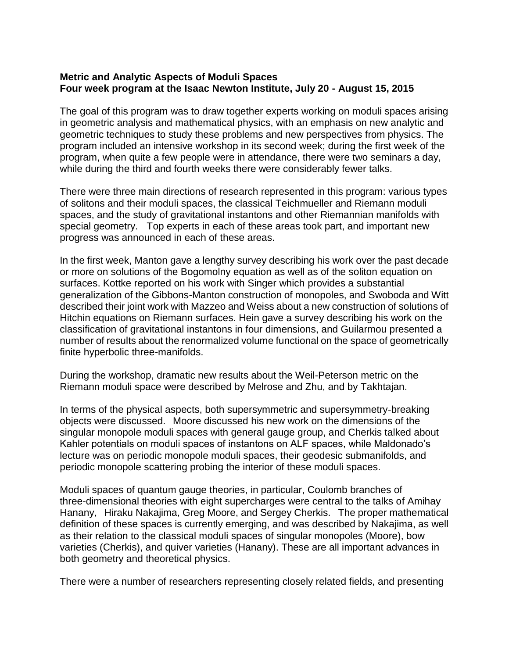## **Metric and Analytic Aspects of Moduli Spaces Four week program at the Isaac Newton Institute, July 20 - August 15, 2015**

The goal of this program was to draw together experts working on moduli spaces arising in geometric analysis and mathematical physics, with an emphasis on new analytic and geometric techniques to study these problems and new perspectives from physics. The program included an intensive workshop in its second week; during the first week of the program, when quite a few people were in attendance, there were two seminars a day, while during the third and fourth weeks there were considerably fewer talks.

There were three main directions of research represented in this program: various types of solitons and their moduli spaces, the classical Teichmueller and Riemann moduli spaces, and the study of gravitational instantons and other Riemannian manifolds with special geometry. Top experts in each of these areas took part, and important new progress was announced in each of these areas.

In the first week, Manton gave a lengthy survey describing his work over the past decade or more on solutions of the Bogomolny equation as well as of the soliton equation on surfaces. Kottke reported on his work with Singer which provides a substantial generalization of the Gibbons-Manton construction of monopoles, and Swoboda and Witt described their joint work with Mazzeo and Weiss about a new construction of solutions of Hitchin equations on Riemann surfaces. Hein gave a survey describing his work on the classification of gravitational instantons in four dimensions, and Guilarmou presented a number of results about the renormalized volume functional on the space of geometrically finite hyperbolic three-manifolds.

During the workshop, dramatic new results about the Weil-Peterson metric on the Riemann moduli space were described by Melrose and Zhu, and by Takhtajan.

In terms of the physical aspects, both supersymmetric and supersymmetry-breaking objects were discussed. Moore discussed his new work on the dimensions of the singular monopole moduli spaces with general gauge group, and Cherkis talked about Kahler potentials on moduli spaces of instantons on ALF spaces, while Maldonado's lecture was on periodic monopole moduli spaces, their geodesic submanifolds, and periodic monopole scattering probing the interior of these moduli spaces.

Moduli spaces of quantum gauge theories, in particular, Coulomb branches of three-dimensional theories with eight supercharges were central to the talks of Amihay Hanany, Hiraku Nakajima, Greg Moore, and Sergey Cherkis. The proper mathematical definition of these spaces is currently emerging, and was described by Nakajima, as well as their relation to the classical moduli spaces of singular monopoles (Moore), bow varieties (Cherkis), and quiver varieties (Hanany). These are all important advances in both geometry and theoretical physics.

There were a number of researchers representing closely related fields, and presenting